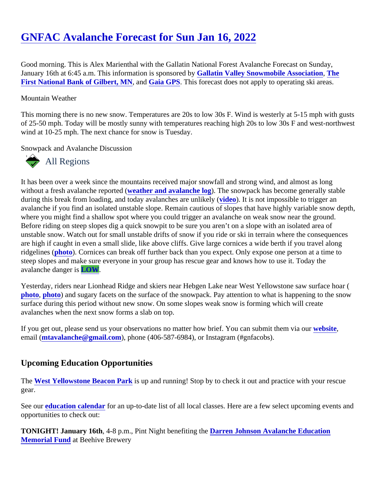## [GNFAC Avalanche Forecast for Sun Jan 16, 202](https://www.mtavalanche.com/forecast/22/01/16)2

Good morning. This is Alex Marienthal with the Gallatin National Forest Avalanche Forecast on Sunday, January 16th at 6:45 a.m. This information is sponsored by the Valley Snowmobile Association [The](https://www.gilbertbank.com/) [First National Bank of Gilbert, MN](https://www.gilbertbank.com/), and Gaia GPS This forecast does not apply to operating ski areas.

## Mountain Weather

This morning there is no new snow. Temperatures are 20s to low 30s F. Wind is westerly at 5-15 mph with gu of 25-50 mph. Today will be mostly sunny with temperatures reaching high 20s to low 30s F and west-northw wind at 10-25 mph. The next chance for snow is Tuesday.

Snowpack and Avalanche Discussion

## All Regions

It has been over a week since the mountains received major snowfall and strong wind, and almost as long without a fresh avalanche reported ether and avalanche log The snowpack has become generally stable during this break from loading, and today avalanches are unlikely of. It is not impossible to trigger an avalanche if you find an isolated unstable slope. Remain cautious of slopes that have highly variable snow de where you might find a shallow spot where you could trigger an avalanche on weak snow near the ground. Before riding on steep slopes dig a quick snowpit to be sure you aren't on a slope with an isolated area of unstable snow. Watch out for small unstable drifts of snow if you ride or ski in terrain where the consequence are high if caught in even a small slide, like above cliffs. Give large cornices a wide berth if you travel along ridgelines [\(photo\)](https://www.mtavalanche.com/images/22/large-cornices-buck-ridge). Cornices can break off further back than you expect. Only expose one person at a time to steep slopes and make sure everyone in your group has rescue gear and knows how to use it. Today the avalanche danger LOW.

Yesterday, riders near Lionhead Ridge and skiers near Hebgen Lake near West Yellowstone saw surface hoar [photo](https://www.mtavalanche.com/images/22/surface-hoar-top-near-lionhead), [photo\)](https://www.mtavalanche.com/images/22/surface-hoar-formation-lionhead) and sugary facets on the surface of the snowpack. Pay attention to what is happening to the sno surface during this period without new snow. On some slopes weak snow is forming which will create avalanches when the next snow forms a slab on top.

If you get out, please send us your observations no matter how brief. You can submit them velasing email [\(mtavalanche@gmail.com](mailto:mtavalanche@gmail.com)), phone (406-587-6984), or Instagram (#gnfacobs).

## Upcoming Education Opportunities

The [West Yellowstone Beacon Par](https://www.mtavalanche.com/images/22/west-yellowstone-beacon-park)ks up and running! Stop by to check it out and practice with your rescue gear.

See ou[r education calendar](https://www.mtavalanche.com/education)for an up-to-date list of all local classes. Here are a few select upcoming events an opportunities to check out:

TONIGHT! January 16th, 4-8 p.m., Pint Night benefiting the arren Johnson Avalanche Education [Memorial Fund](https://www.djmemorialfund.org/) at Beehive Brewery